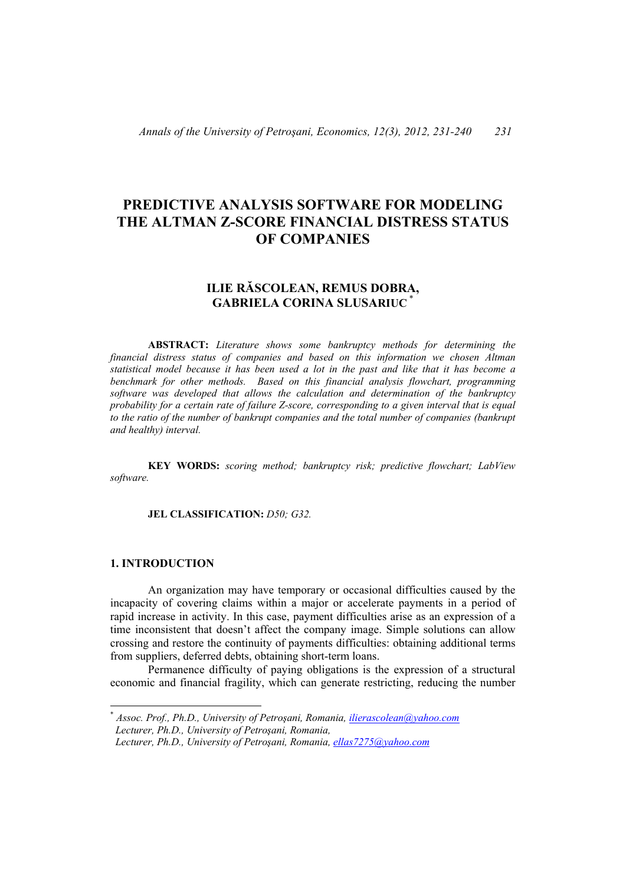# **PREDICTIVE ANALYSIS SOFTWARE FOR MODELING THE ALTMAN Z-SCORE FINANCIAL DISTRESS STATUS OF COMPANIES**

# **ILIE RĂSCOLEAN, REMUS DOBRA, GABRIELA CORINA SLUSARIUC** \*

 **ABSTRACT:** *Literature shows some bankruptcy methods for determining the financial distress status of companies and based on this information we chosen Altman statistical model because it has been used a lot in the past and like that it has become a benchmark for other methods. Based on this financial analysis flowchart, programming software was developed that allows the calculation and determination of the bankruptcy probability for a certain rate of failure Z-score, corresponding to a given interval that is equal to the ratio of the number of bankrupt companies and the total number of companies (bankrupt and healthy) interval.*

 **KEY WORDS:** *scoring method; bankruptcy risk; predictive flowchart; LabView software.* 

#### **JEL CLASSIFICATION:** *D50; G32.*

## **1. INTRODUCTION**

 $\overline{a}$ 

 An organization may have temporary or occasional difficulties caused by the incapacity of covering claims within a major or accelerate payments in a period of rapid increase in activity. In this case, payment difficulties arise as an expression of a time inconsistent that doesn't affect the company image. Simple solutions can allow crossing and restore the continuity of payments difficulties: obtaining additional terms from suppliers, deferred debts, obtaining short-term loans.

Permanence difficulty of paying obligations is the expression of a structural economic and financial fragility, which can generate restricting, reducing the number

<sup>\*</sup> *Assoc. Prof., Ph.D., University of Petroşani, Romania, ilierascolean@yahoo.com Lecturer, Ph.D., University of Petroşani, Romania,* 

*Lecturer, Ph.D., University of Petroşani, Romania, ellas7275@yahoo.com*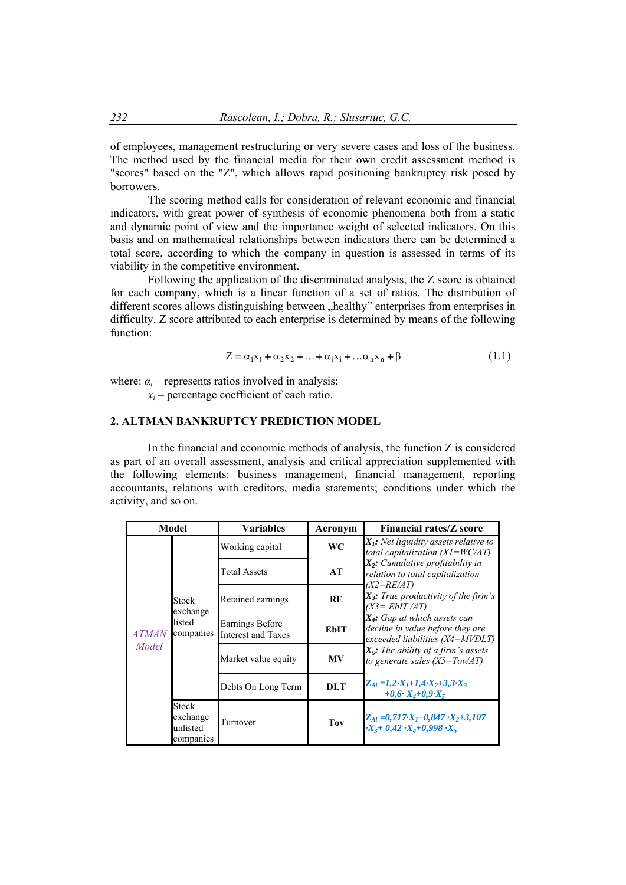of employees, management restructuring or very severe cases and loss of the business. The method used by the financial media for their own credit assessment method is "scores" based on the "Z", which allows rapid positioning bankruptcy risk posed by borrowers.

 The scoring method calls for consideration of relevant economic and financial indicators, with great power of synthesis of economic phenomena both from a static and dynamic point of view and the importance weight of selected indicators. On this basis and on mathematical relationships between indicators there can be determined a total score, according to which the company in question is assessed in terms of its viability in the competitive environment.

 Following the application of the discriminated analysis, the Z score is obtained for each company, which is a linear function of a set of ratios. The distribution of different scores allows distinguishing between "healthy" enterprises from enterprises in difficulty. Z score attributed to each enterprise is determined by means of the following function:

$$
Z = \alpha_1 x_1 + \alpha_2 x_2 + \dots + \alpha_i x_i + \dots + \alpha_n x_n + \beta \tag{1.1}
$$

where:  $\alpha_i$  – represents ratios involved in analysis;

 $x_i$  – percentage coefficient of each ratio.

## **2. ALTMAN BANKRUPTCY PREDICTION MODEL**

 In the financial and economic methods of analysis, the function Z is considered as part of an overall assessment, analysis and critical appreciation supplemented with the following elements: business management, financial management, reporting accountants, relations with creditors, media statements; conditions under which the activity, and so on.

| Model                 |                                                   | Variables                                    | Acronym     | <b>Financial rates/Z score</b>                                                                                                                                                                                                                                                                                                                                                                                                                                                                                                      |  |
|-----------------------|---------------------------------------------------|----------------------------------------------|-------------|-------------------------------------------------------------------------------------------------------------------------------------------------------------------------------------------------------------------------------------------------------------------------------------------------------------------------------------------------------------------------------------------------------------------------------------------------------------------------------------------------------------------------------------|--|
| <i>ATMAN</i><br>Model | Stock<br>exchange<br>listed<br>companies          | Working capital                              | <b>WC</b>   | $X_i$ : Net liquidity assets relative to<br>total capitalization $(XI=WC/AT)$<br>$X_2$ : Cumulative profitability in<br>relation to total capitalization<br>$(X2=RE/AT)$<br>$X_3$ : True productivity of the firm's<br>$(X3 = EbIT/AT)$<br>$X_4$ : Gap at which assets can<br>decline in value before they are<br>exceeded liabilities $(X4 = MVDLT)$<br>$X_{5}$ : The ability of a firm's assets<br>to generate sales $(X5 = Tov/AT)$<br>$Z_{Al} = 1, 2 \cdot X_I + 1, 4 \cdot X_2 + 3, 3 \cdot X_3$<br>$+0.6$ $X_4$ + $0.9$ $X_5$ |  |
|                       |                                                   | <b>Total Assets</b>                          | AT          |                                                                                                                                                                                                                                                                                                                                                                                                                                                                                                                                     |  |
|                       |                                                   | Retained earnings                            | RE          |                                                                                                                                                                                                                                                                                                                                                                                                                                                                                                                                     |  |
|                       |                                                   | Earnings Before<br><b>Interest and Taxes</b> | <b>EbIT</b> |                                                                                                                                                                                                                                                                                                                                                                                                                                                                                                                                     |  |
|                       |                                                   | Market value equity                          | MV          |                                                                                                                                                                                                                                                                                                                                                                                                                                                                                                                                     |  |
|                       |                                                   | Debts On Long Term                           | <b>DLT</b>  |                                                                                                                                                                                                                                                                                                                                                                                                                                                                                                                                     |  |
|                       | <b>Stock</b><br>exchange<br>unlisted<br>companies | Turnover                                     | Tov         | $Z_{Al} = 0.717 \cdot X_I + 0.847 \cdot X_2 + 3.107$<br>$\cdot X_3 + 0.42 \cdot X_4 + 0.998 \cdot X_5$                                                                                                                                                                                                                                                                                                                                                                                                                              |  |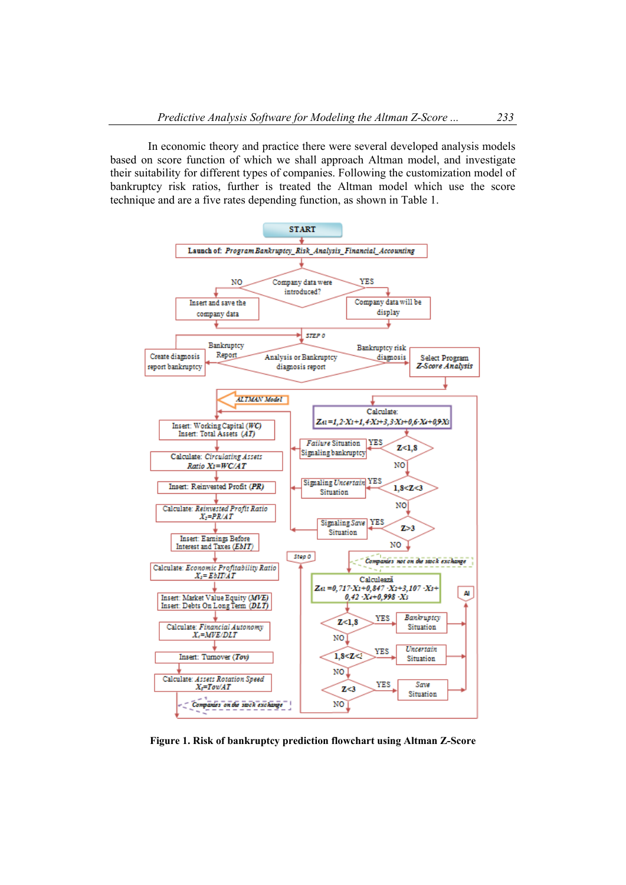In economic theory and practice there were several developed analysis models based on score function of which we shall approach Altman model, and investigate their suitability for different types of companies. Following the customization model of bankruptcy risk ratios, further is treated the Altman model which use the score technique and are a five rates depending function, as shown in Table 1.



**Figure 1. Risk of bankruptcy prediction flowchart using Altman Z-Score**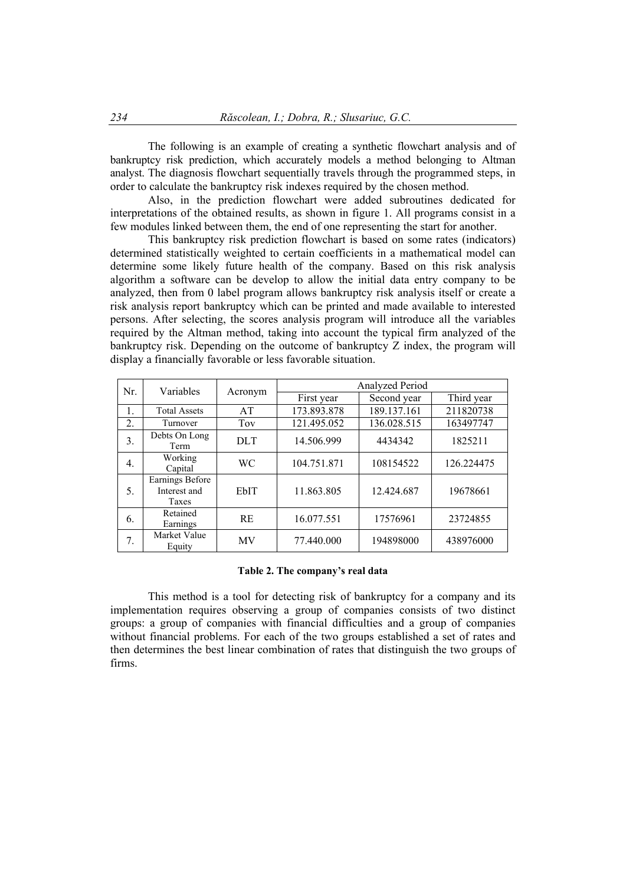The following is an example of creating a synthetic flowchart analysis and of bankruptcy risk prediction, which accurately models a method belonging to Altman analyst. The diagnosis flowchart sequentially travels through the programmed steps, in order to calculate the bankruptcy risk indexes required by the chosen method.

 Also, in the prediction flowchart were added subroutines dedicated for interpretations of the obtained results, as shown in figure 1. All programs consist in a few modules linked between them, the end of one representing the start for another.

 This bankruptcy risk prediction flowchart is based on some rates (indicators) determined statistically weighted to certain coefficients in a mathematical model can determine some likely future health of the company. Based on this risk analysis algorithm a software can be develop to allow the initial data entry company to be analyzed, then from 0 label program allows bankruptcy risk analysis itself or create a risk analysis report bankruptcy which can be printed and made available to interested persons. After selecting, the scores analysis program will introduce all the variables required by the Altman method, taking into account the typical firm analyzed of the bankruptcy risk. Depending on the outcome of bankruptcy Z index, the program will display a financially favorable or less favorable situation.

| Nr. | Variables                                | Acronym     | Analyzed Period |             |            |  |
|-----|------------------------------------------|-------------|-----------------|-------------|------------|--|
|     |                                          |             | First year      | Second year | Third year |  |
|     | <b>Total Assets</b>                      | AT          | 173.893.878     | 189.137.161 | 211820738  |  |
| 2.  | Turnover                                 | Toy         | 121.495.052     | 136.028.515 | 163497747  |  |
| 3.  | Debts On Long<br>Term                    | DLT.        | 14.506.999      | 4434342     | 1825211    |  |
| 4.  | Working<br>Capital                       | <b>WC</b>   | 104.751.871     | 108154522   | 126.224475 |  |
| 5.  | Earnings Before<br>Interest and<br>Taxes | <b>EbIT</b> | 11.863.805      | 12.424.687  | 19678661   |  |
| 6.  | Retained<br>Earnings                     | <b>RE</b>   | 16.077.551      | 17576961    | 23724855   |  |
| 7.  | Market Value<br>Equity                   | MV          | 77.440.000      | 194898000   | 438976000  |  |

#### **Table 2. The company's real data**

This method is a tool for detecting risk of bankruptcy for a company and its implementation requires observing a group of companies consists of two distinct groups: a group of companies with financial difficulties and a group of companies without financial problems. For each of the two groups established a set of rates and then determines the best linear combination of rates that distinguish the two groups of firms.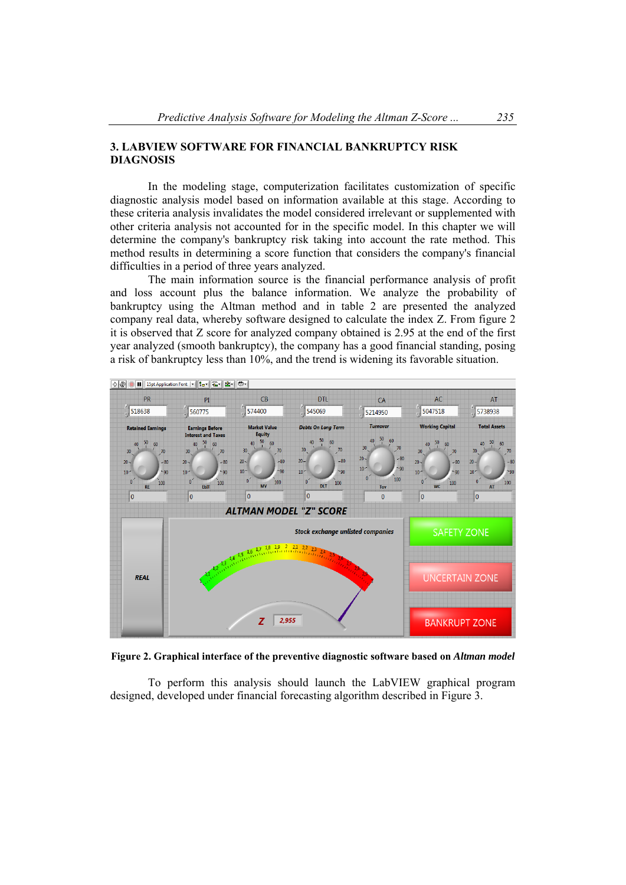## **3. LABVIEW SOFTWARE FOR FINANCIAL BANKRUPTCY RISK DIAGNOSIS**

 In the modeling stage, computerization facilitates customization of specific diagnostic analysis model based on information available at this stage. According to these criteria analysis invalidates the model considered irrelevant or supplemented with other criteria analysis not accounted for in the specific model. In this chapter we will determine the company's bankruptcy risk taking into account the rate method. This method results in determining a score function that considers the company's financial difficulties in a period of three years analyzed.

 The main information source is the financial performance analysis of profit and loss account plus the balance information. We analyze the probability of bankruptcy using the Altman method and in table 2 are presented the analyzed company real data, whereby software designed to calculate the index Z. From figure 2 it is observed that Z score for analyzed company obtained is 2.95 at the end of the first year analyzed (smooth bankruptcy), the company has a good financial standing, posing a risk of bankruptcy less than 10%, and the trend is widening its favorable situation.



**Figure 2. Graphical interface of the preventive diagnostic software based on** *Altman model*

 To perform this analysis should launch the LabVIEW graphical program designed, developed under financial forecasting algorithm described in Figure 3.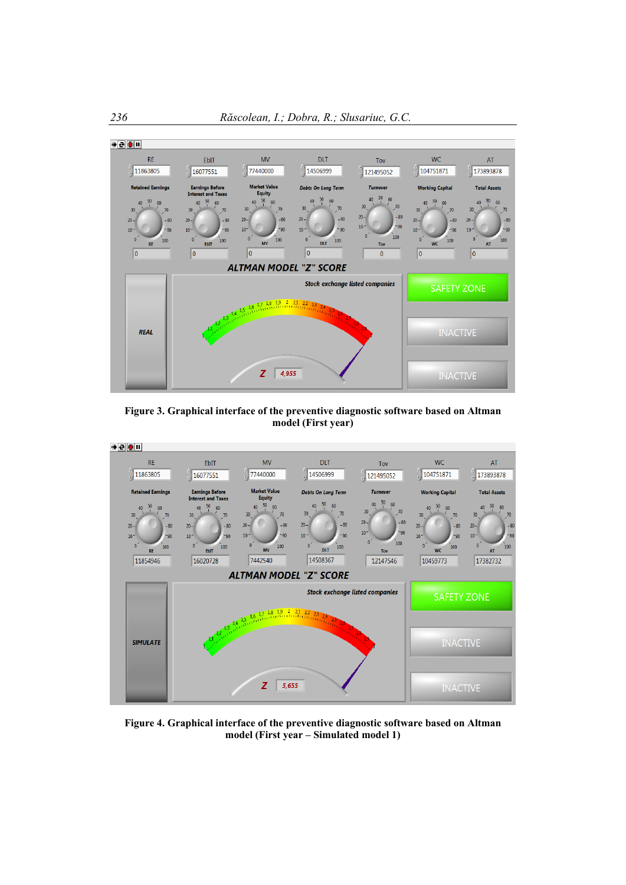

**Figure 3. Graphical interface of the preventive diagnostic software based on Altman model (First year)** 



**Figure 4. Graphical interface of the preventive diagnostic software based on Altman model (First year – Simulated model 1)**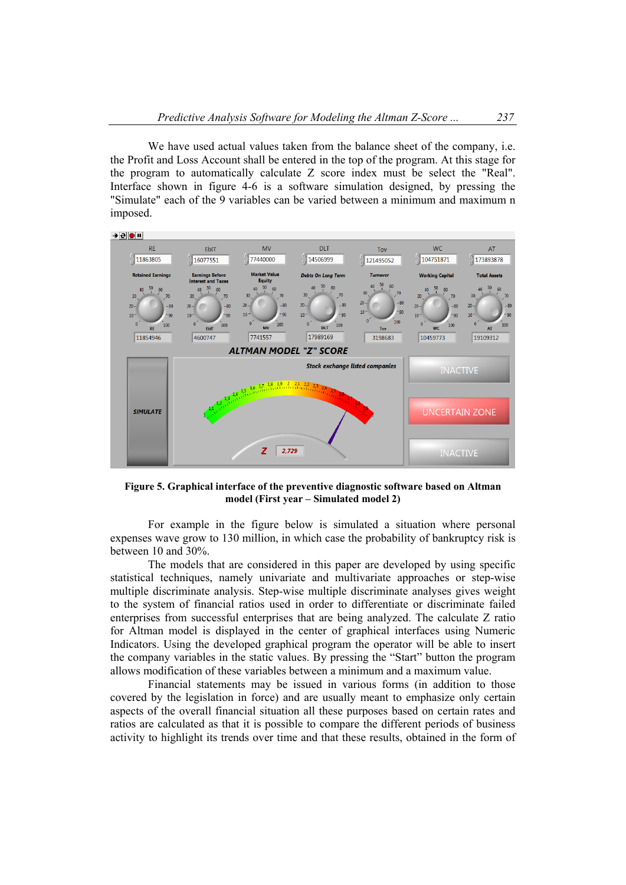We have used actual values taken from the balance sheet of the company, i.e. the Profit and Loss Account shall be entered in the top of the program. At this stage for the program to automatically calculate Z score index must be select the "Real". Interface shown in figure 4-6 is a software simulation designed, by pressing the "Simulate" each of the 9 variables can be varied between a minimum and maximum n imposed.



**Figure 5. Graphical interface of the preventive diagnostic software based on Altman model (First year – Simulated model 2)** 

 For example in the figure below is simulated a situation where personal expenses wave grow to 130 million, in which case the probability of bankruptcy risk is between 10 and 30%.

 The models that are considered in this paper are developed by using specific statistical techniques, namely univariate and multivariate approaches or step-wise multiple discriminate analysis. Step-wise multiple discriminate analyses gives weight to the system of financial ratios used in order to differentiate or discriminate failed enterprises from successful enterprises that are being analyzed. The calculate Z ratio for Altman model is displayed in the center of graphical interfaces using Numeric Indicators. Using the developed graphical program the operator will be able to insert the company variables in the static values. By pressing the "Start" button the program allows modification of these variables between a minimum and a maximum value.

 Financial statements may be issued in various forms (in addition to those covered by the legislation in force) and are usually meant to emphasize only certain aspects of the overall financial situation all these purposes based on certain rates and ratios are calculated as that it is possible to compare the different periods of business activity to highlight its trends over time and that these results, obtained in the form of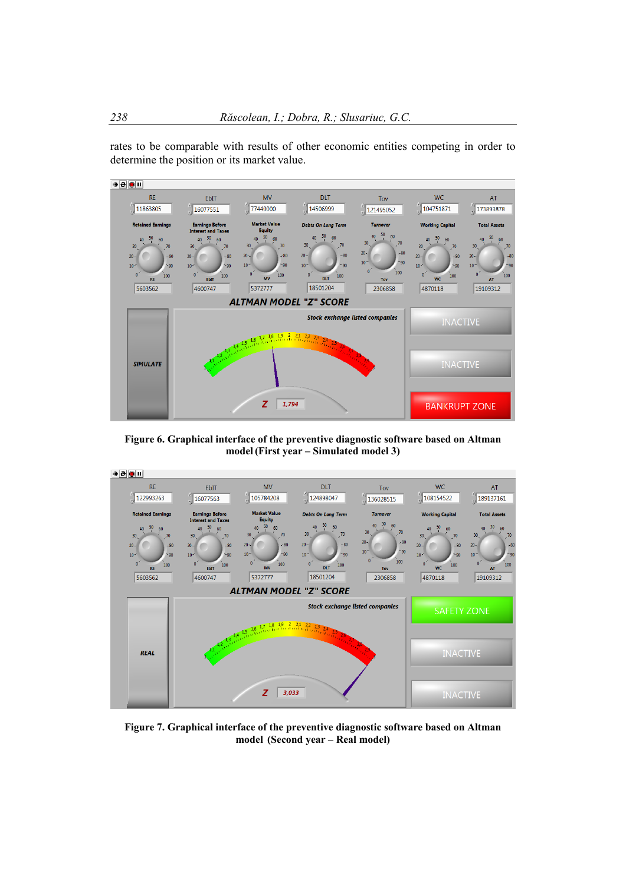rates to be comparable with results of other economic entities competing in order to determine the position or its market value.



**Figure 6. Graphical interface of the preventive diagnostic software based on Altman model(First year – Simulated model 3)** 



**Figure 7. Graphical interface of the preventive diagnostic software based on Altman model (Second year – Real model)**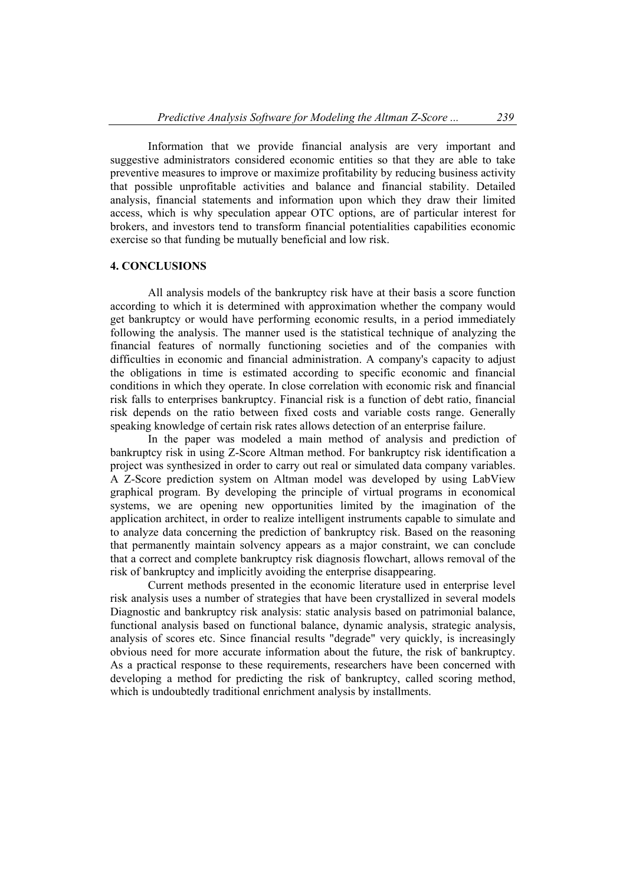Information that we provide financial analysis are very important and suggestive administrators considered economic entities so that they are able to take preventive measures to improve or maximize profitability by reducing business activity that possible unprofitable activities and balance and financial stability. Detailed analysis, financial statements and information upon which they draw their limited access, which is why speculation appear OTC options, are of particular interest for brokers, and investors tend to transform financial potentialities capabilities economic exercise so that funding be mutually beneficial and low risk.

## **4. CONCLUSIONS**

 All analysis models of the bankruptcy risk have at their basis a score function according to which it is determined with approximation whether the company would get bankruptcy or would have performing economic results, in a period immediately following the analysis. The manner used is the statistical technique of analyzing the financial features of normally functioning societies and of the companies with difficulties in economic and financial administration. A company's capacity to adjust the obligations in time is estimated according to specific economic and financial conditions in which they operate. In close correlation with economic risk and financial risk falls to enterprises bankruptcy. Financial risk is a function of debt ratio, financial risk depends on the ratio between fixed costs and variable costs range. Generally speaking knowledge of certain risk rates allows detection of an enterprise failure.

 In the paper was modeled a main method of analysis and prediction of bankruptcy risk in using Z-Score Altman method. For bankruptcy risk identification a project was synthesized in order to carry out real or simulated data company variables. A Z-Score prediction system on Altman model was developed by using LabView graphical program. By developing the principle of virtual programs in economical systems, we are opening new opportunities limited by the imagination of the application architect, in order to realize intelligent instruments capable to simulate and to analyze data concerning the prediction of bankruptcy risk. Based on the reasoning that permanently maintain solvency appears as a major constraint, we can conclude that a correct and complete bankruptcy risk diagnosis flowchart, allows removal of the risk of bankruptcy and implicitly avoiding the enterprise disappearing.

 Current methods presented in the economic literature used in enterprise level risk analysis uses a number of strategies that have been crystallized in several models Diagnostic and bankruptcy risk analysis: static analysis based on patrimonial balance, functional analysis based on functional balance, dynamic analysis, strategic analysis, analysis of scores etc. Since financial results "degrade" very quickly, is increasingly obvious need for more accurate information about the future, the risk of bankruptcy. As a practical response to these requirements, researchers have been concerned with developing a method for predicting the risk of bankruptcy, called scoring method, which is undoubtedly traditional enrichment analysis by installments.